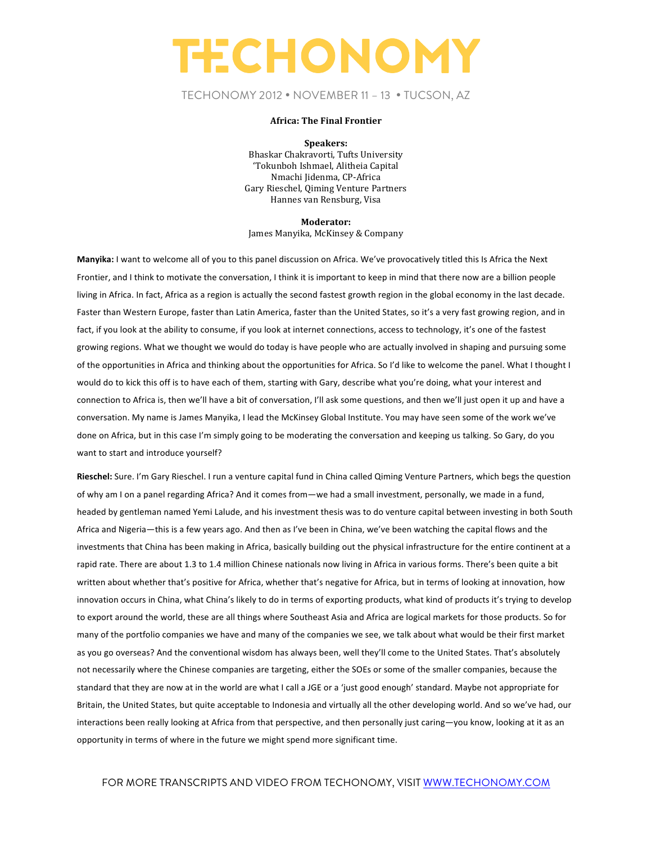### TECHONOMY 2012 • NOVEMBER 11 – 13 • TUCSON, AZ

#### **Africa: The Final Frontier**

**Speakers:** Bhaskar Chakravorti, Tufts University 'Tokunboh Ishmael, Alitheia Capital Nmachi Jidenma, CP-Africa Gary Rieschel, Qiming Venture Partners Hannes van Rensburg, Visa

**Moderator:** James Manyika, McKinsey & Company

Manyika: I want to welcome all of you to this panel discussion on Africa. We've provocatively titled this Is Africa the Next Frontier, and I think to motivate the conversation, I think it is important to keep in mind that there now are a billion people living in Africa. In fact, Africa as a region is actually the second fastest growth region in the global economy in the last decade. Faster than Western Europe, faster than Latin America, faster than the United States, so it's a very fast growing region, and in fact, if you look at the ability to consume, if you look at internet connections, access to technology, it's one of the fastest growing regions. What we thought we would do today is have people who are actually involved in shaping and pursuing some of the opportunities in Africa and thinking about the opportunities for Africa. So I'd like to welcome the panel. What I thought I would do to kick this off is to have each of them, starting with Gary, describe what you're doing, what your interest and connection to Africa is, then we'll have a bit of conversation, I'll ask some questions, and then we'll just open it up and have a conversation. My name is James Manyika, I lead the McKinsey Global Institute. You may have seen some of the work we've done on Africa, but in this case I'm simply going to be moderating the conversation and keeping us talking. So Gary, do you want to start and introduce yourself?

**Rieschel:** Sure. I'm Gary Rieschel. I run a venture capital fund in China called Qiming Venture Partners, which begs the question of why am I on a panel regarding Africa? And it comes from—we had a small investment, personally, we made in a fund, headed by gentleman named Yemi Lalude, and his investment thesis was to do venture capital between investing in both South Africa and Nigeria—this is a few years ago. And then as I've been in China, we've been watching the capital flows and the investments that China has been making in Africa, basically building out the physical infrastructure for the entire continent at a rapid rate. There are about 1.3 to 1.4 million Chinese nationals now living in Africa in various forms. There's been quite a bit written about whether that's positive for Africa, whether that's negative for Africa, but in terms of looking at innovation, how innovation occurs in China, what China's likely to do in terms of exporting products, what kind of products it's trying to develop to export around the world, these are all things where Southeast Asia and Africa are logical markets for those products. So for many of the portfolio companies we have and many of the companies we see, we talk about what would be their first market as you go overseas? And the conventional wisdom has always been, well they'll come to the United States. That's absolutely not necessarily where the Chinese companies are targeting, either the SOEs or some of the smaller companies, because the standard that they are now at in the world are what I call a JGE or a 'just good enough' standard. Maybe not appropriate for Britain, the United States, but quite acceptable to Indonesia and virtually all the other developing world. And so we've had, our interactions been really looking at Africa from that perspective, and then personally just caring—you know, looking at it as an opportunity in terms of where in the future we might spend more significant time.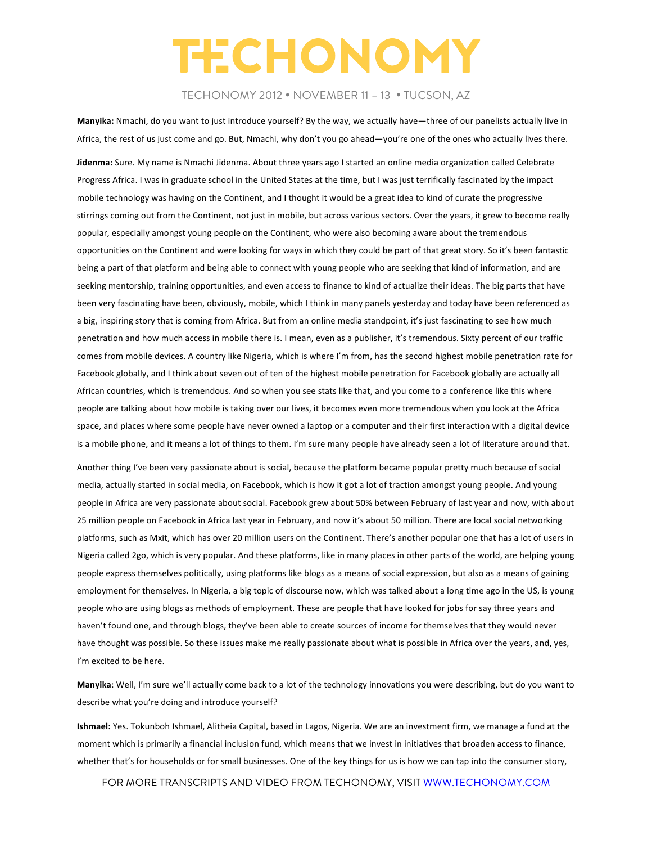### TECHONOMY 2012 • NOVEMBER 11 – 13 • TUCSON, AZ

Manyika: Nmachi, do you want to just introduce yourself? By the way, we actually have—three of our panelists actually live in Africa, the rest of us just come and go. But, Nmachi, why don't you go ahead—you're one of the ones who actually lives there.

Jidenma: Sure. My name is Nmachi Jidenma. About three years ago I started an online media organization called Celebrate Progress Africa. I was in graduate school in the United States at the time, but I was just terrifically fascinated by the impact mobile technology was having on the Continent, and I thought it would be a great idea to kind of curate the progressive stirrings coming out from the Continent, not just in mobile, but across various sectors. Over the years, it grew to become really popular, especially amongst young people on the Continent, who were also becoming aware about the tremendous opportunities on the Continent and were looking for ways in which they could be part of that great story. So it's been fantastic being a part of that platform and being able to connect with young people who are seeking that kind of information, and are seeking mentorship, training opportunities, and even access to finance to kind of actualize their ideas. The big parts that have been very fascinating have been, obviously, mobile, which I think in many panels yesterday and today have been referenced as a big, inspiring story that is coming from Africa. But from an online media standpoint, it's just fascinating to see how much penetration and how much access in mobile there is. I mean, even as a publisher, it's tremendous. Sixty percent of our traffic comes from mobile devices. A country like Nigeria, which is where I'm from, has the second highest mobile penetration rate for Facebook globally, and I think about seven out of ten of the highest mobile penetration for Facebook globally are actually all African countries, which is tremendous. And so when you see stats like that, and you come to a conference like this where people are talking about how mobile is taking over our lives, it becomes even more tremendous when you look at the Africa space, and places where some people have never owned a laptop or a computer and their first interaction with a digital device is a mobile phone, and it means a lot of things to them. I'm sure many people have already seen a lot of literature around that.

Another thing I've been very passionate about is social, because the platform became popular pretty much because of social media, actually started in social media, on Facebook, which is how it got a lot of traction amongst young people. And young people in Africa are very passionate about social. Facebook grew about 50% between February of last year and now, with about 25 million people on Facebook in Africa last year in February, and now it's about 50 million. There are local social networking platforms, such as Mxit, which has over 20 million users on the Continent. There's another popular one that has a lot of users in Nigeria called 2go, which is very popular. And these platforms, like in many places in other parts of the world, are helping young people express themselves politically, using platforms like blogs as a means of social expression, but also as a means of gaining employment for themselves. In Nigeria, a big topic of discourse now, which was talked about a long time ago in the US, is young people who are using blogs as methods of employment. These are people that have looked for jobs for say three years and haven't found one, and through blogs, they've been able to create sources of income for themselves that they would never have thought was possible. So these issues make me really passionate about what is possible in Africa over the years, and, yes, I'm excited to be here.

Manyika: Well, I'm sure we'll actually come back to a lot of the technology innovations you were describing, but do you want to describe what you're doing and introduce yourself?

Ishmael: Yes. Tokunboh Ishmael, Alitheia Capital, based in Lagos, Nigeria. We are an investment firm, we manage a fund at the moment which is primarily a financial inclusion fund, which means that we invest in initiatives that broaden access to finance, whether that's for households or for small businesses. One of the key things for us is how we can tap into the consumer story,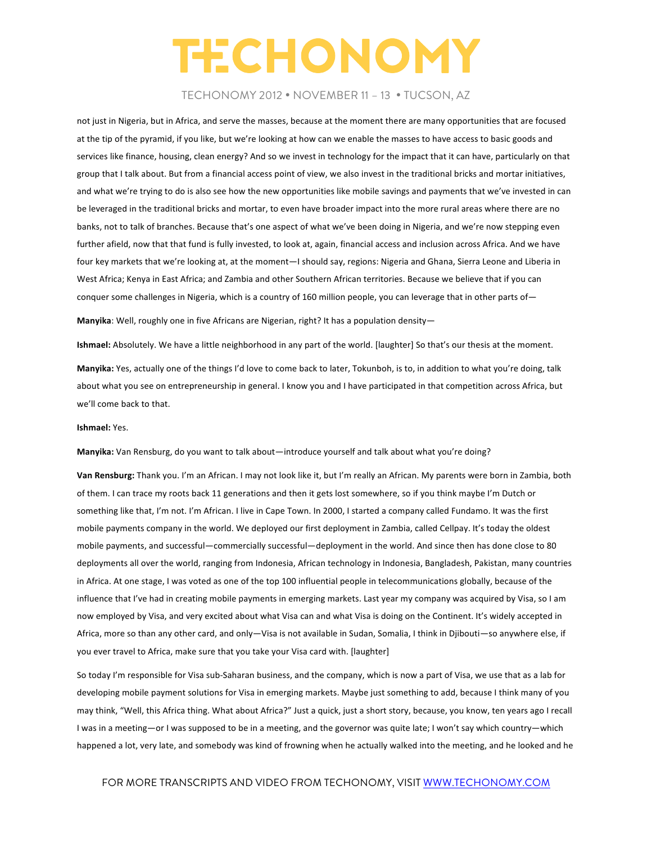### TECHONOMY 2012 • NOVEMBER 11 – 13 • TUCSON, AZ

not just in Nigeria, but in Africa, and serve the masses, because at the moment there are many opportunities that are focused at the tip of the pyramid, if you like, but we're looking at how can we enable the masses to have access to basic goods and services like finance, housing, clean energy? And so we invest in technology for the impact that it can have, particularly on that group that I talk about. But from a financial access point of view, we also invest in the traditional bricks and mortar initiatives, and what we're trying to do is also see how the new opportunities like mobile savings and payments that we've invested in can be leveraged in the traditional bricks and mortar, to even have broader impact into the more rural areas where there are no banks, not to talk of branches. Because that's one aspect of what we've been doing in Nigeria, and we're now stepping even further afield, now that that fund is fully invested, to look at, again, financial access and inclusion across Africa. And we have four key markets that we're looking at, at the moment—I should say, regions: Nigeria and Ghana, Sierra Leone and Liberia in West Africa; Kenya in East Africa; and Zambia and other Southern African territories. Because we believe that if you can conquer some challenges in Nigeria, which is a country of 160 million people, you can leverage that in other parts of-

**Manyika**: Well, roughly one in five Africans are Nigerian, right? It has a population density—

**Ishmael:** Absolutely. We have a little neighborhood in any part of the world. [laughter] So that's our thesis at the moment.

**Manyika:** Yes, actually one of the things I'd love to come back to later, Tokunboh, is to, in addition to what you're doing, talk about what you see on entrepreneurship in general. I know you and I have participated in that competition across Africa, but we'll come back to that.

#### **Ishmael:** Yes.

Manyika: Van Rensburg, do you want to talk about—introduce yourself and talk about what you're doing?

Van Rensburg: Thank you. I'm an African. I may not look like it, but I'm really an African. My parents were born in Zambia, both of them. I can trace my roots back 11 generations and then it gets lost somewhere, so if you think maybe I'm Dutch or something like that, I'm not. I'm African. I live in Cape Town. In 2000, I started a company called Fundamo. It was the first mobile payments company in the world. We deployed our first deployment in Zambia, called Cellpay. It's today the oldest mobile payments, and successful—commercially successful—deployment in the world. And since then has done close to 80 deployments all over the world, ranging from Indonesia, African technology in Indonesia, Bangladesh, Pakistan, many countries in Africa. At one stage, I was voted as one of the top 100 influential people in telecommunications globally, because of the influence that I've had in creating mobile payments in emerging markets. Last year my company was acquired by Visa, so I am now employed by Visa, and very excited about what Visa can and what Visa is doing on the Continent. It's widely accepted in Africa, more so than any other card, and only-Visa is not available in Sudan, Somalia, I think in Djibouti-so anywhere else, if you ever travel to Africa, make sure that you take your Visa card with. [laughter]

So today I'm responsible for Visa sub-Saharan business, and the company, which is now a part of Visa, we use that as a lab for developing mobile payment solutions for Visa in emerging markets. Maybe just something to add, because I think many of you may think, "Well, this Africa thing. What about Africa?" Just a quick, just a short story, because, you know, ten years ago I recall I was in a meeting—or I was supposed to be in a meeting, and the governor was quite late; I won't say which country—which happened a lot, very late, and somebody was kind of frowning when he actually walked into the meeting, and he looked and he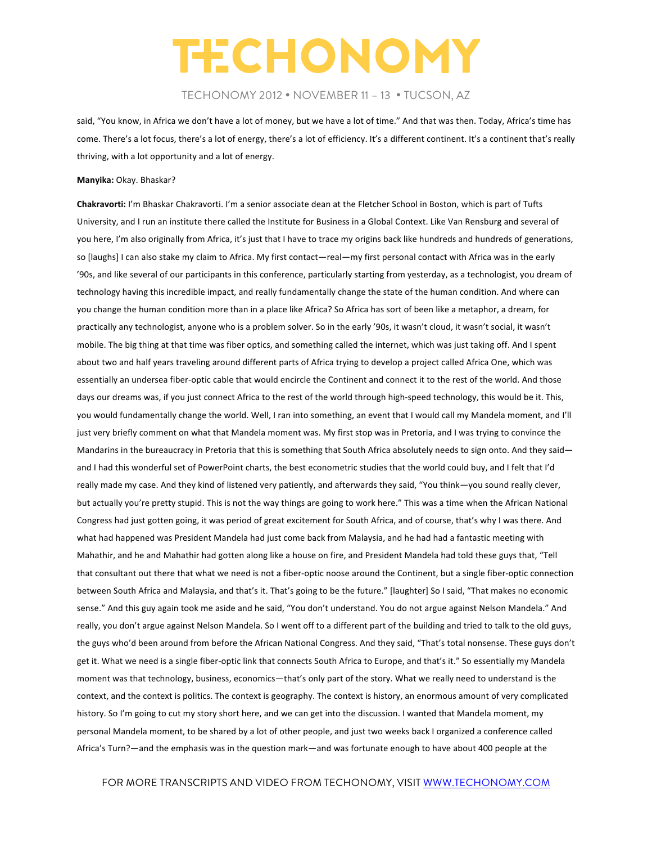### TECHONOMY 2012 • NOVEMBER 11 – 13 • TUCSON, AZ

said, "You know, in Africa we don't have a lot of money, but we have a lot of time." And that was then. Today, Africa's time has come. There's a lot focus, there's a lot of energy, there's a lot of efficiency. It's a different continent. It's a continent that's really thriving, with a lot opportunity and a lot of energy.

#### **Manyika:** Okay. Bhaskar?

**Chakravorti:** I'm Bhaskar Chakravorti. I'm a senior associate dean at the Fletcher School in Boston, which is part of Tufts University, and I run an institute there called the Institute for Business in a Global Context. Like Van Rensburg and several of you here, I'm also originally from Africa, it's just that I have to trace my origins back like hundreds and hundreds of generations, so [laughs] I can also stake my claim to Africa. My first contact—real—my first personal contact with Africa was in the early '90s, and like several of our participants in this conference, particularly starting from yesterday, as a technologist, you dream of technology having this incredible impact, and really fundamentally change the state of the human condition. And where can you change the human condition more than in a place like Africa? So Africa has sort of been like a metaphor, a dream, for practically any technologist, anyone who is a problem solver. So in the early '90s, it wasn't cloud, it wasn't social, it wasn't mobile. The big thing at that time was fiber optics, and something called the internet, which was just taking off. And I spent about two and half years traveling around different parts of Africa trying to develop a project called Africa One, which was essentially an undersea fiber-optic cable that would encircle the Continent and connect it to the rest of the world. And those days our dreams was, if you just connect Africa to the rest of the world through high-speed technology, this would be it. This, you would fundamentally change the world. Well, I ran into something, an event that I would call my Mandela moment, and I'll just very briefly comment on what that Mandela moment was. My first stop was in Pretoria, and I was trying to convince the Mandarins in the bureaucracy in Pretoria that this is something that South Africa absolutely needs to sign onto. And they said and I had this wonderful set of PowerPoint charts, the best econometric studies that the world could buy, and I felt that I'd really made my case. And they kind of listened very patiently, and afterwards they said, "You think—you sound really clever, but actually you're pretty stupid. This is not the way things are going to work here." This was a time when the African National Congress had just gotten going, it was period of great excitement for South Africa, and of course, that's why I was there. And what had happened was President Mandela had just come back from Malaysia, and he had had a fantastic meeting with Mahathir, and he and Mahathir had gotten along like a house on fire, and President Mandela had told these guys that, "Tell that consultant out there that what we need is not a fiber-optic noose around the Continent, but a single fiber-optic connection between South Africa and Malaysia, and that's it. That's going to be the future." [laughter] So I said, "That makes no economic sense." And this guy again took me aside and he said, "You don't understand. You do not argue against Nelson Mandela." And really, you don't argue against Nelson Mandela. So I went off to a different part of the building and tried to talk to the old guys, the guys who'd been around from before the African National Congress. And they said, "That's total nonsense. These guys don't get it. What we need is a single fiber-optic link that connects South Africa to Europe, and that's it." So essentially my Mandela moment was that technology, business, economics—that's only part of the story. What we really need to understand is the context, and the context is politics. The context is geography. The context is history, an enormous amount of very complicated history. So I'm going to cut my story short here, and we can get into the discussion. I wanted that Mandela moment, my personal Mandela moment, to be shared by a lot of other people, and just two weeks back I organized a conference called Africa's Turn?—and the emphasis was in the question mark—and was fortunate enough to have about 400 people at the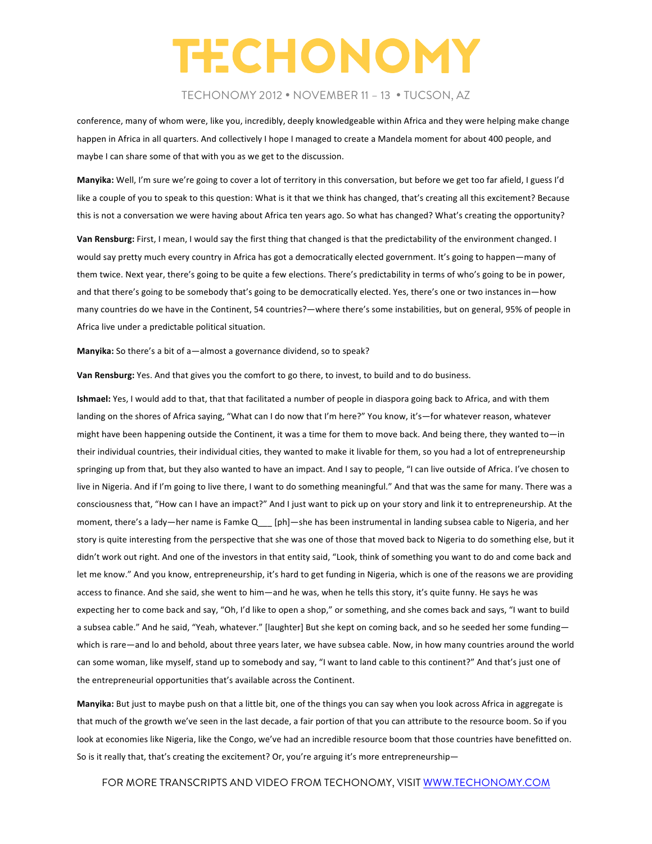### TECHONOMY 2012 • NOVEMBER 11 – 13 • TUCSON, AZ

conference, many of whom were, like you, incredibly, deeply knowledgeable within Africa and they were helping make change happen in Africa in all quarters. And collectively I hope I managed to create a Mandela moment for about 400 people, and maybe I can share some of that with you as we get to the discussion.

**Manyika:** Well, I'm sure we're going to cover a lot of territory in this conversation, but before we get too far afield, I guess I'd like a couple of you to speak to this question: What is it that we think has changed, that's creating all this excitement? Because this is not a conversation we were having about Africa ten years ago. So what has changed? What's creating the opportunity?

**Van Rensburg:** First, I mean, I would say the first thing that changed is that the predictability of the environment changed. I would say pretty much every country in Africa has got a democratically elected government. It's going to happen—many of them twice. Next year, there's going to be quite a few elections. There's predictability in terms of who's going to be in power, and that there's going to be somebody that's going to be democratically elected. Yes, there's one or two instances in—how many countries do we have in the Continent, 54 countries?—where there's some instabilities, but on general, 95% of people in Africa live under a predictable political situation.

Manyika: So there's a bit of a-almost a governance dividend, so to speak?

Van Rensburg: Yes. And that gives you the comfort to go there, to invest, to build and to do business.

Ishmael: Yes, I would add to that, that that facilitated a number of people in diaspora going back to Africa, and with them landing on the shores of Africa saying, "What can I do now that I'm here?" You know, it's—for whatever reason, whatever might have been happening outside the Continent, it was a time for them to move back. And being there, they wanted to—in their individual countries, their individual cities, they wanted to make it livable for them, so you had a lot of entrepreneurship springing up from that, but they also wanted to have an impact. And I say to people, "I can live outside of Africa. I've chosen to live in Nigeria. And if I'm going to live there, I want to do something meaningful." And that was the same for many. There was a consciousness that, "How can I have an impact?" And I just want to pick up on your story and link it to entrepreneurship. At the moment, there's a lady—her name is Famke Q\_\_\_ [ph]—she has been instrumental in landing subsea cable to Nigeria, and her story is quite interesting from the perspective that she was one of those that moved back to Nigeria to do something else, but it didn't work out right. And one of the investors in that entity said, "Look, think of something you want to do and come back and let me know." And you know, entrepreneurship, it's hard to get funding in Nigeria, which is one of the reasons we are providing access to finance. And she said, she went to him—and he was, when he tells this story, it's quite funny. He says he was expecting her to come back and say, "Oh, I'd like to open a shop," or something, and she comes back and says, "I want to build a subsea cable." And he said, "Yeah, whatever." [laughter] But she kept on coming back, and so he seeded her some funding which is rare—and lo and behold, about three years later, we have subsea cable. Now, in how many countries around the world can some woman, like myself, stand up to somebody and say, "I want to land cable to this continent?" And that's just one of the entrepreneurial opportunities that's available across the Continent.

Manyika: But just to maybe push on that a little bit, one of the things you can say when you look across Africa in aggregate is that much of the growth we've seen in the last decade, a fair portion of that you can attribute to the resource boom. So if you look at economies like Nigeria, like the Congo, we've had an incredible resource boom that those countries have benefitted on. So is it really that, that's creating the excitement? Or, you're arguing it's more entrepreneurship-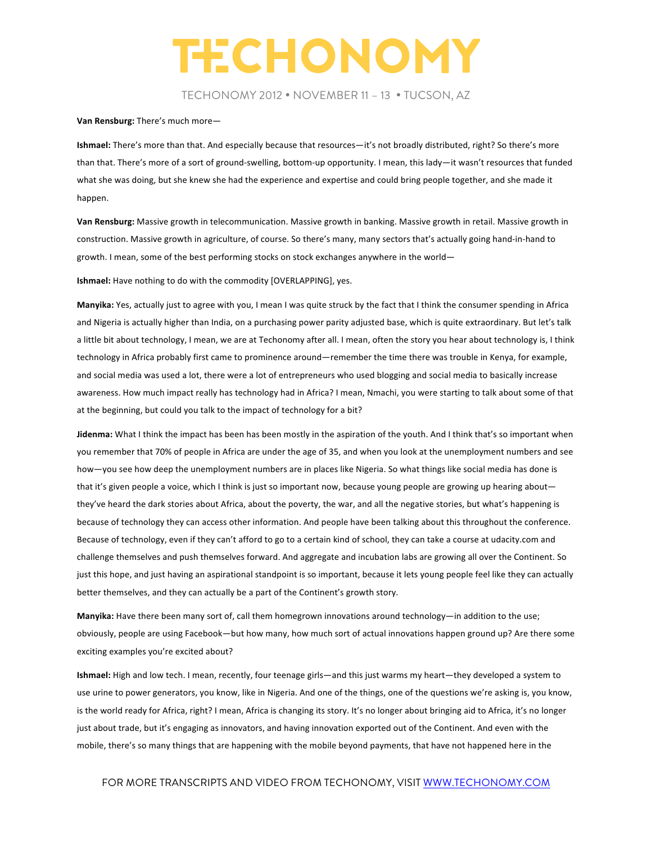TECHONOMY 2012 • NOVEMBER 11 – 13 • TUCSON, AZ

#### **Van Rensburg:** There's much more-

Ishmael: There's more than that. And especially because that resources-it's not broadly distributed, right? So there's more than that. There's more of a sort of ground-swelling, bottom-up opportunity. I mean, this lady—it wasn't resources that funded what she was doing, but she knew she had the experience and expertise and could bring people together, and she made it happen. 

Van Rensburg: Massive growth in telecommunication. Massive growth in banking. Massive growth in retail. Massive growth in construction. Massive growth in agriculture, of course. So there's many, many sectors that's actually going hand-in-hand to growth. I mean, some of the best performing stocks on stock exchanges anywhere in the world-

**Ishmael:** Have nothing to do with the commodity [OVERLAPPING], yes.

Manyika: Yes, actually just to agree with you, I mean I was quite struck by the fact that I think the consumer spending in Africa and Nigeria is actually higher than India, on a purchasing power parity adjusted base, which is quite extraordinary. But let's talk a little bit about technology, I mean, we are at Techonomy after all. I mean, often the story you hear about technology is, I think technology in Africa probably first came to prominence around—remember the time there was trouble in Kenya, for example, and social media was used a lot, there were a lot of entrepreneurs who used blogging and social media to basically increase awareness. How much impact really has technology had in Africa? I mean, Nmachi, you were starting to talk about some of that at the beginning, but could you talk to the impact of technology for a bit?

**Jidenma:** What I think the impact has been has been mostly in the aspiration of the youth. And I think that's so important when you remember that 70% of people in Africa are under the age of 35, and when you look at the unemployment numbers and see how—you see how deep the unemployment numbers are in places like Nigeria. So what things like social media has done is that it's given people a voice, which I think is just so important now, because young people are growing up hearing about they've heard the dark stories about Africa, about the poverty, the war, and all the negative stories, but what's happening is because of technology they can access other information. And people have been talking about this throughout the conference. Because of technology, even if they can't afford to go to a certain kind of school, they can take a course at udacity.com and challenge themselves and push themselves forward. And aggregate and incubation labs are growing all over the Continent. So just this hope, and just having an aspirational standpoint is so important, because it lets young people feel like they can actually better themselves, and they can actually be a part of the Continent's growth story.

Manyika: Have there been many sort of, call them homegrown innovations around technology—in addition to the use; obviously, people are using Facebook—but how many, how much sort of actual innovations happen ground up? Are there some exciting examples you're excited about?

**Ishmael:** High and low tech. I mean, recently, four teenage girls—and this just warms my heart—they developed a system to use urine to power generators, you know, like in Nigeria. And one of the things, one of the questions we're asking is, you know, is the world ready for Africa, right? I mean, Africa is changing its story. It's no longer about bringing aid to Africa, it's no longer just about trade, but it's engaging as innovators, and having innovation exported out of the Continent. And even with the mobile, there's so many things that are happening with the mobile beyond payments, that have not happened here in the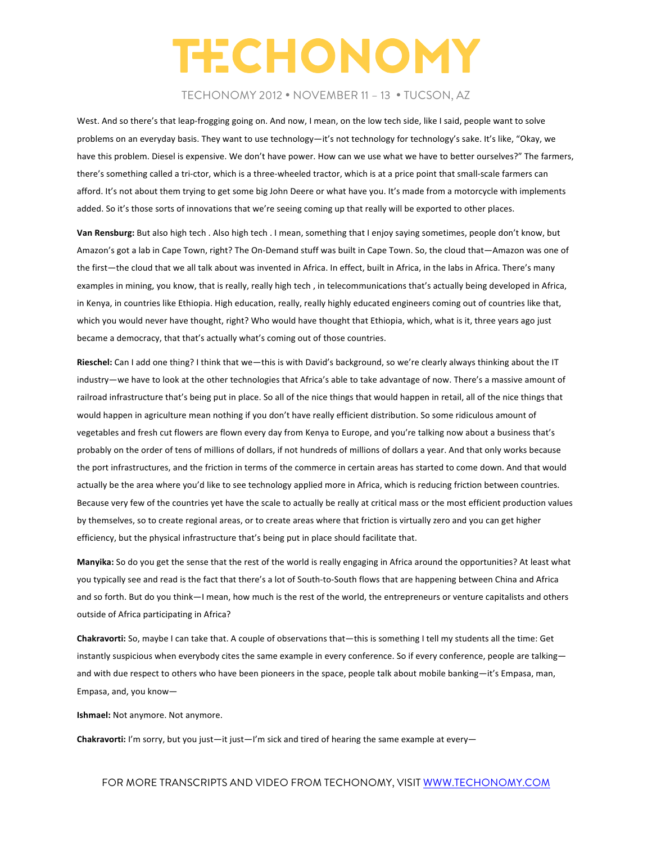### TECHONOMY 2012 • NOVEMBER 11 – 13 • TUCSON, AZ

West. And so there's that leap-frogging going on. And now, I mean, on the low tech side, like I said, people want to solve problems on an everyday basis. They want to use technology—it's not technology for technology's sake. It's like, "Okay, we have this problem. Diesel is expensive. We don't have power. How can we use what we have to better ourselves?" The farmers, there's something called a tri-ctor, which is a three-wheeled tractor, which is at a price point that small-scale farmers can afford. It's not about them trying to get some big John Deere or what have you. It's made from a motorcycle with implements added. So it's those sorts of innovations that we're seeing coming up that really will be exported to other places.

Van Rensburg: But also high tech . Also high tech . I mean, something that I enjoy saying sometimes, people don't know, but Amazon's got a lab in Cape Town, right? The On-Demand stuff was built in Cape Town. So, the cloud that—Amazon was one of the first—the cloud that we all talk about was invented in Africa. In effect, built in Africa, in the labs in Africa. There's many examples in mining, you know, that is really, really high tech, in telecommunications that's actually being developed in Africa, in Kenya, in countries like Ethiopia. High education, really, really highly educated engineers coming out of countries like that, which you would never have thought, right? Who would have thought that Ethiopia, which, what is it, three years ago just became a democracy, that that's actually what's coming out of those countries.

Rieschel: Can I add one thing? I think that we—this is with David's background, so we're clearly always thinking about the IT industry—we have to look at the other technologies that Africa's able to take advantage of now. There's a massive amount of railroad infrastructure that's being put in place. So all of the nice things that would happen in retail, all of the nice things that would happen in agriculture mean nothing if you don't have really efficient distribution. So some ridiculous amount of vegetables and fresh cut flowers are flown every day from Kenya to Europe, and you're talking now about a business that's probably on the order of tens of millions of dollars, if not hundreds of millions of dollars a year. And that only works because the port infrastructures, and the friction in terms of the commerce in certain areas has started to come down. And that would actually be the area where you'd like to see technology applied more in Africa, which is reducing friction between countries. Because very few of the countries yet have the scale to actually be really at critical mass or the most efficient production values by themselves, so to create regional areas, or to create areas where that friction is virtually zero and you can get higher efficiency, but the physical infrastructure that's being put in place should facilitate that.

Manyika: So do you get the sense that the rest of the world is really engaging in Africa around the opportunities? At least what you typically see and read is the fact that there's a lot of South-to-South flows that are happening between China and Africa and so forth. But do you think—I mean, how much is the rest of the world, the entrepreneurs or venture capitalists and others outside of Africa participating in Africa?

**Chakravorti:** So, maybe I can take that. A couple of observations that—this is something I tell my students all the time: Get instantly suspicious when everybody cites the same example in every conference. So if every conference, people are talking and with due respect to others who have been pioneers in the space, people talk about mobile banking—it's Empasa, man, Empasa, and, you know-

**Ishmael:** Not anymore. Not anymore.

**Chakravorti:** I'm sorry, but you just—it just—I'm sick and tired of hearing the same example at every—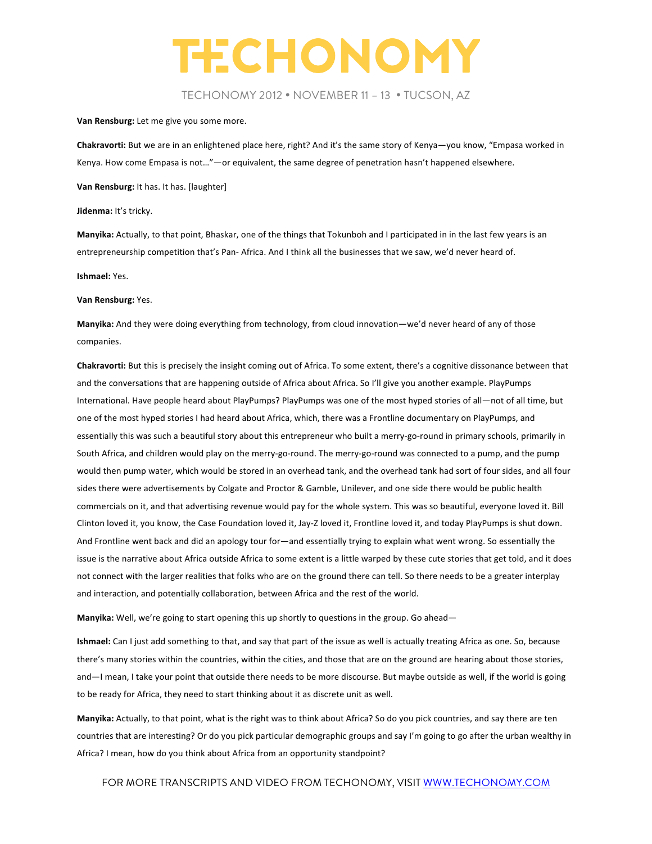TECHONOMY 2012 • NOVEMBER 11 – 13 • TUCSON, AZ

Van Rensburg: Let me give you some more.

Chakravorti: But we are in an enlightened place here, right? And it's the same story of Kenya—you know, "Empasa worked in Kenya. How come Empasa is not..." — or equivalent, the same degree of penetration hasn't happened elsewhere.

**Van Rensburg:** It has. It has. [laughter]

**Jidenma:** It's tricky.

Manyika: Actually, to that point, Bhaskar, one of the things that Tokunboh and I participated in in the last few years is an entrepreneurship competition that's Pan- Africa. And I think all the businesses that we saw, we'd never heard of.

**Ishmael:** Yes. 

**Van Rensburg:** Yes. 

**Manyika:** And they were doing everything from technology, from cloud innovation—we'd never heard of any of those companies. 

**Chakravorti:** But this is precisely the insight coming out of Africa. To some extent, there's a cognitive dissonance between that and the conversations that are happening outside of Africa about Africa. So I'll give you another example. PlayPumps International. Have people heard about PlayPumps? PlayPumps was one of the most hyped stories of all—not of all time, but one of the most hyped stories I had heard about Africa, which, there was a Frontline documentary on PlayPumps, and essentially this was such a beautiful story about this entrepreneur who built a merry-go-round in primary schools, primarily in South Africa, and children would play on the merry-go-round. The merry-go-round was connected to a pump, and the pump would then pump water, which would be stored in an overhead tank, and the overhead tank had sort of four sides, and all four sides there were advertisements by Colgate and Proctor & Gamble, Unilever, and one side there would be public health commercials on it, and that advertising revenue would pay for the whole system. This was so beautiful, everyone loved it. Bill Clinton loved it, you know, the Case Foundation loved it, Jay-Z loved it, Frontline loved it, and today PlayPumps is shut down. And Frontline went back and did an apology tour for—and essentially trying to explain what went wrong. So essentially the issue is the narrative about Africa outside Africa to some extent is a little warped by these cute stories that get told, and it does not connect with the larger realities that folks who are on the ground there can tell. So there needs to be a greater interplay and interaction, and potentially collaboration, between Africa and the rest of the world.

Manyika: Well, we're going to start opening this up shortly to questions in the group. Go ahead-

**Ishmael:** Can I just add something to that, and say that part of the issue as well is actually treating Africa as one. So, because there's many stories within the countries, within the cities, and those that are on the ground are hearing about those stories, and-I mean, I take your point that outside there needs to be more discourse. But maybe outside as well, if the world is going to be ready for Africa, they need to start thinking about it as discrete unit as well.

Manyika: Actually, to that point, what is the right was to think about Africa? So do you pick countries, and say there are ten countries that are interesting? Or do you pick particular demographic groups and say I'm going to go after the urban wealthy in Africa? I mean, how do you think about Africa from an opportunity standpoint?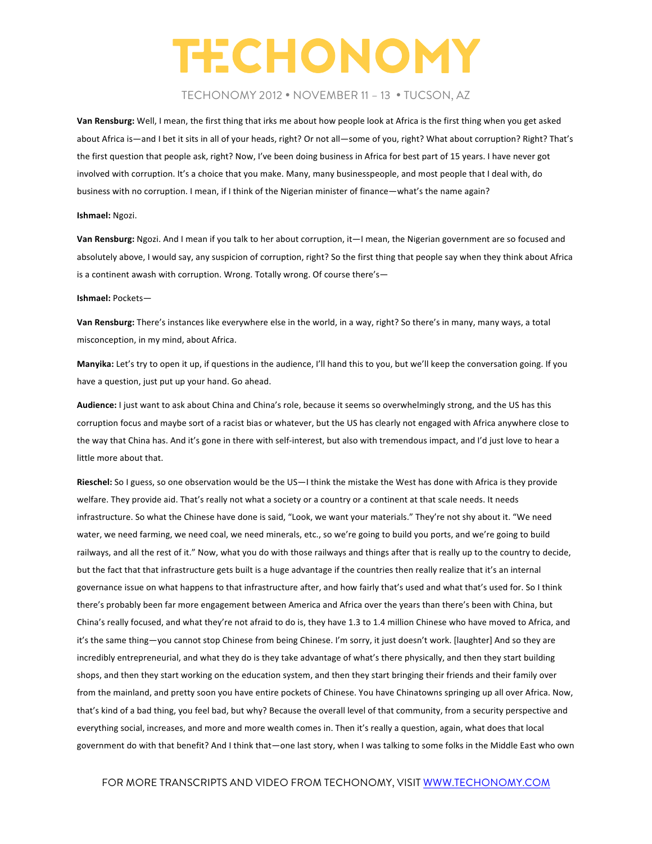### TECHONOMY 2012 • NOVEMBER 11 – 13 • TUCSON, AZ

Van Rensburg: Well, I mean, the first thing that irks me about how people look at Africa is the first thing when you get asked about Africa is—and I bet it sits in all of your heads, right? Or not all—some of you, right? What about corruption? Right? That's the first question that people ask, right? Now, I've been doing business in Africa for best part of 15 years. I have never got involved with corruption. It's a choice that you make. Many, many businesspeople, and most people that I deal with, do business with no corruption. I mean, if I think of the Nigerian minister of finance—what's the name again?

#### **Ishmael:** Ngozi.

**Van Rensburg:** Ngozi. And I mean if you talk to her about corruption, it—I mean, the Nigerian government are so focused and absolutely above, I would say, any suspicion of corruption, right? So the first thing that people say when they think about Africa is a continent awash with corruption. Wrong. Totally wrong. Of course there's-

#### **Ishmael:** Pockets—

Van Rensburg: There's instances like everywhere else in the world, in a way, right? So there's in many, many ways, a total misconception, in my mind, about Africa.

Manyika: Let's try to open it up, if questions in the audience, I'll hand this to you, but we'll keep the conversation going. If you have a question, just put up your hand. Go ahead.

Audience: I just want to ask about China and China's role, because it seems so overwhelmingly strong, and the US has this corruption focus and maybe sort of a racist bias or whatever, but the US has clearly not engaged with Africa anywhere close to the way that China has. And it's gone in there with self-interest, but also with tremendous impact, and I'd just love to hear a little more about that.

**Rieschel:** So I guess, so one observation would be the US—I think the mistake the West has done with Africa is they provide welfare. They provide aid. That's really not what a society or a country or a continent at that scale needs. It needs infrastructure. So what the Chinese have done is said, "Look, we want your materials." They're not shy about it. "We need water, we need farming, we need coal, we need minerals, etc., so we're going to build you ports, and we're going to build railways, and all the rest of it." Now, what you do with those railways and things after that is really up to the country to decide, but the fact that that infrastructure gets built is a huge advantage if the countries then really realize that it's an internal governance issue on what happens to that infrastructure after, and how fairly that's used and what that's used for. So I think there's probably been far more engagement between America and Africa over the years than there's been with China, but China's really focused, and what they're not afraid to do is, they have 1.3 to 1.4 million Chinese who have moved to Africa, and it's the same thing-you cannot stop Chinese from being Chinese. I'm sorry, it just doesn't work. [laughter] And so they are incredibly entrepreneurial, and what they do is they take advantage of what's there physically, and then they start building shops, and then they start working on the education system, and then they start bringing their friends and their family over from the mainland, and pretty soon you have entire pockets of Chinese. You have Chinatowns springing up all over Africa. Now, that's kind of a bad thing, you feel bad, but why? Because the overall level of that community, from a security perspective and everything social, increases, and more and more wealth comes in. Then it's really a question, again, what does that local government do with that benefit? And I think that—one last story, when I was talking to some folks in the Middle East who own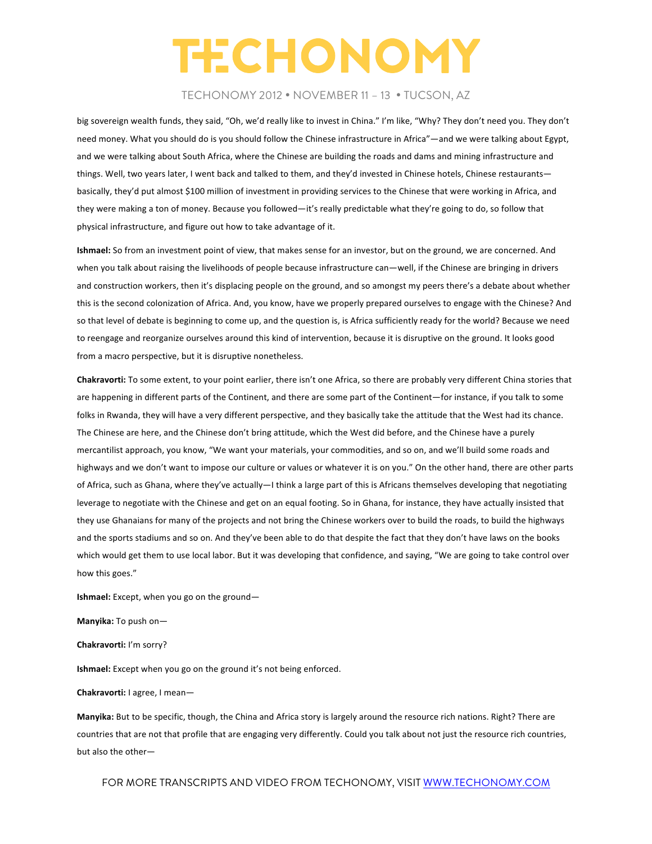### TECHONOMY 2012 • NOVEMBER 11 – 13 • TUCSON, AZ

big sovereign wealth funds, they said, "Oh, we'd really like to invest in China." I'm like, "Why? They don't need you. They don't need money. What you should do is you should follow the Chinese infrastructure in Africa"—and we were talking about Egypt, and we were talking about South Africa, where the Chinese are building the roads and dams and mining infrastructure and things. Well, two years later, I went back and talked to them, and they'd invested in Chinese hotels, Chinese restaurants basically, they'd put almost \$100 million of investment in providing services to the Chinese that were working in Africa, and they were making a ton of money. Because you followed—it's really predictable what they're going to do, so follow that physical infrastructure, and figure out how to take advantage of it.

**Ishmael:** So from an investment point of view, that makes sense for an investor, but on the ground, we are concerned. And when you talk about raising the livelihoods of people because infrastructure can—well, if the Chinese are bringing in drivers and construction workers, then it's displacing people on the ground, and so amongst my peers there's a debate about whether this is the second colonization of Africa. And, you know, have we properly prepared ourselves to engage with the Chinese? And so that level of debate is beginning to come up, and the question is, is Africa sufficiently ready for the world? Because we need to reengage and reorganize ourselves around this kind of intervention, because it is disruptive on the ground. It looks good from a macro perspective, but it is disruptive nonetheless.

**Chakravorti:** To some extent, to your point earlier, there isn't one Africa, so there are probably very different China stories that are happening in different parts of the Continent, and there are some part of the Continent—for instance, if you talk to some folks in Rwanda, they will have a very different perspective, and they basically take the attitude that the West had its chance. The Chinese are here, and the Chinese don't bring attitude, which the West did before, and the Chinese have a purely mercantilist approach, you know, "We want your materials, your commodities, and so on, and we'll build some roads and highways and we don't want to impose our culture or values or whatever it is on you." On the other hand, there are other parts of Africa, such as Ghana, where they've actually—I think a large part of this is Africans themselves developing that negotiating leverage to negotiate with the Chinese and get on an equal footing. So in Ghana, for instance, they have actually insisted that they use Ghanaians for many of the projects and not bring the Chinese workers over to build the roads, to build the highways and the sports stadiums and so on. And they've been able to do that despite the fact that they don't have laws on the books which would get them to use local labor. But it was developing that confidence, and saying, "We are going to take control over how this goes."

**Ishmael:** Except, when you go on the ground-

**Manyika:** To push on-

**Chakravorti:** I'm sorry?

**Ishmael:** Except when you go on the ground it's not being enforced.

**Chakravorti:** I agree, I mean-

**Manyika:** But to be specific, though, the China and Africa story is largely around the resource rich nations. Right? There are countries that are not that profile that are engaging very differently. Could you talk about not just the resource rich countries, but also the other-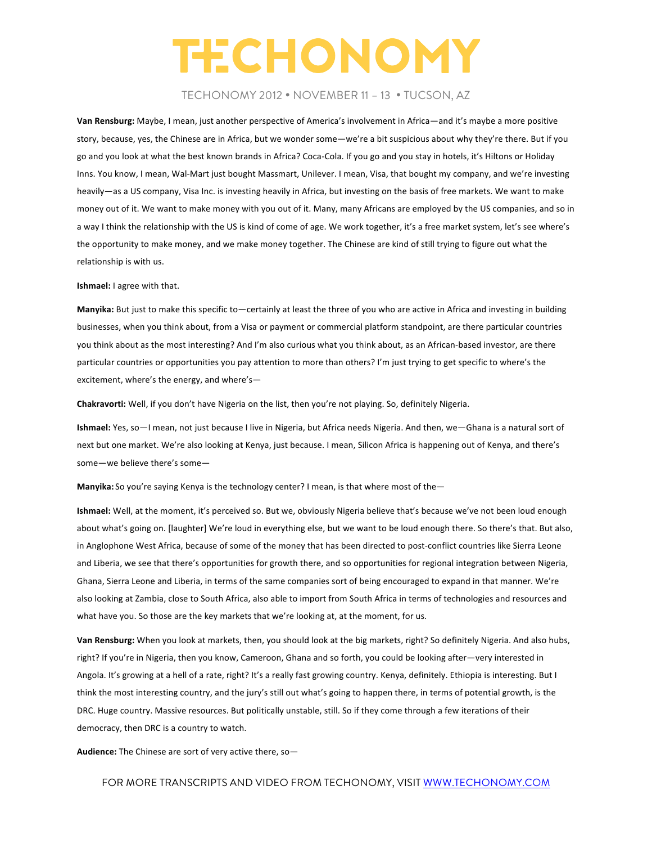### TECHONOMY 2012 • NOVEMBER 11 – 13 • TUCSON, AZ

Van Rensburg: Maybe, I mean, just another perspective of America's involvement in Africa—and it's maybe a more positive story, because, yes, the Chinese are in Africa, but we wonder some—we're a bit suspicious about why they're there. But if you go and you look at what the best known brands in Africa? Coca-Cola. If you go and you stay in hotels, it's Hiltons or Holiday Inns. You know, I mean, Wal-Mart just bought Massmart, Unilever. I mean, Visa, that bought my company, and we're investing heavily—as a US company, Visa Inc. is investing heavily in Africa, but investing on the basis of free markets. We want to make money out of it. We want to make money with you out of it. Many, many Africans are employed by the US companies, and so in a way I think the relationship with the US is kind of come of age. We work together, it's a free market system, let's see where's the opportunity to make money, and we make money together. The Chinese are kind of still trying to figure out what the relationship is with us.

#### **Ishmael:** I agree with that.

**Manyika:** But just to make this specific to—certainly at least the three of you who are active in Africa and investing in building businesses, when you think about, from a Visa or payment or commercial platform standpoint, are there particular countries you think about as the most interesting? And I'm also curious what you think about, as an African-based investor, are there particular countries or opportunities you pay attention to more than others? I'm just trying to get specific to where's the excitement, where's the energy, and where's-

Chakravorti: Well, if you don't have Nigeria on the list, then you're not playing. So, definitely Nigeria.

Ishmael: Yes, so—I mean, not just because I live in Nigeria, but Africa needs Nigeria. And then, we—Ghana is a natural sort of next but one market. We're also looking at Kenya, just because. I mean, Silicon Africa is happening out of Kenya, and there's some-we believe there's some-

Manyika: So you're saying Kenya is the technology center? I mean, is that where most of the-

Ishmael: Well, at the moment, it's perceived so. But we, obviously Nigeria believe that's because we've not been loud enough about what's going on. [laughter] We're loud in everything else, but we want to be loud enough there. So there's that. But also, in Anglophone West Africa, because of some of the money that has been directed to post-conflict countries like Sierra Leone and Liberia, we see that there's opportunities for growth there, and so opportunities for regional integration between Nigeria, Ghana, Sierra Leone and Liberia, in terms of the same companies sort of being encouraged to expand in that manner. We're also looking at Zambia, close to South Africa, also able to import from South Africa in terms of technologies and resources and what have you. So those are the key markets that we're looking at, at the moment, for us.

Van Rensburg: When you look at markets, then, you should look at the big markets, right? So definitely Nigeria. And also hubs, right? If you're in Nigeria, then you know, Cameroon, Ghana and so forth, you could be looking after—very interested in Angola. It's growing at a hell of a rate, right? It's a really fast growing country. Kenya, definitely. Ethiopia is interesting. But I think the most interesting country, and the jury's still out what's going to happen there, in terms of potential growth, is the DRC. Huge country. Massive resources. But politically unstable, still. So if they come through a few iterations of their democracy, then DRC is a country to watch.

Audience: The Chinese are sort of very active there, so-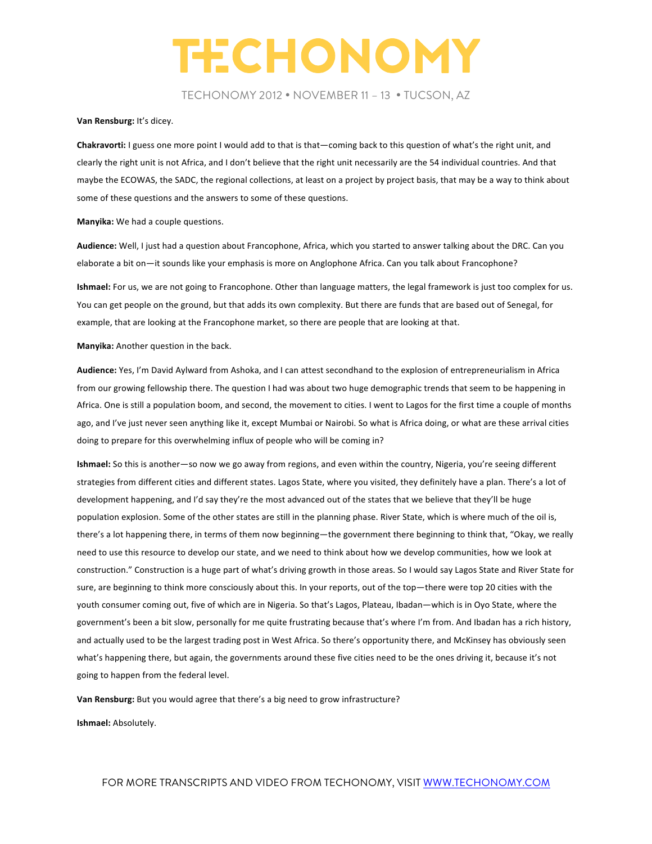TECHONOMY 2012 • NOVEMBER 11 – 13 • TUCSON, AZ

#### Van Rensburg: It's dicey.

**Chakravorti:** I guess one more point I would add to that is that—coming back to this question of what's the right unit, and clearly the right unit is not Africa, and I don't believe that the right unit necessarily are the 54 individual countries. And that maybe the ECOWAS, the SADC, the regional collections, at least on a project by project basis, that may be a way to think about some of these questions and the answers to some of these questions.

**Manyika:** We had a couple questions.

Audience: Well, I just had a question about Francophone, Africa, which you started to answer talking about the DRC. Can you elaborate a bit on—it sounds like your emphasis is more on Anglophone Africa. Can you talk about Francophone?

**Ishmael:** For us, we are not going to Francophone. Other than language matters, the legal framework is just too complex for us. You can get people on the ground, but that adds its own complexity. But there are funds that are based out of Senegal, for example, that are looking at the Francophone market, so there are people that are looking at that.

**Manyika:** Another question in the back.

Audience: Yes, I'm David Aylward from Ashoka, and I can attest secondhand to the explosion of entrepreneurialism in Africa from our growing fellowship there. The question I had was about two huge demographic trends that seem to be happening in Africa. One is still a population boom, and second, the movement to cities. I went to Lagos for the first time a couple of months ago, and I've just never seen anything like it, except Mumbai or Nairobi. So what is Africa doing, or what are these arrival cities doing to prepare for this overwhelming influx of people who will be coming in?

**Ishmael:** So this is another—so now we go away from regions, and even within the country, Nigeria, you're seeing different strategies from different cities and different states. Lagos State, where you visited, they definitely have a plan. There's a lot of development happening, and I'd say they're the most advanced out of the states that we believe that they'll be huge population explosion. Some of the other states are still in the planning phase. River State, which is where much of the oil is, there's a lot happening there, in terms of them now beginning—the government there beginning to think that, "Okay, we really need to use this resource to develop our state, and we need to think about how we develop communities, how we look at construction." Construction is a huge part of what's driving growth in those areas. So I would say Lagos State and River State for sure, are beginning to think more consciously about this. In your reports, out of the top—there were top 20 cities with the youth consumer coming out, five of which are in Nigeria. So that's Lagos, Plateau, Ibadan—which is in Oyo State, where the government's been a bit slow, personally for me quite frustrating because that's where I'm from. And Ibadan has a rich history, and actually used to be the largest trading post in West Africa. So there's opportunity there, and McKinsey has obviously seen what's happening there, but again, the governments around these five cities need to be the ones driving it, because it's not going to happen from the federal level.

**Van Rensburg:** But you would agree that there's a big need to grow infrastructure?

**Ishmael:** Absolutely.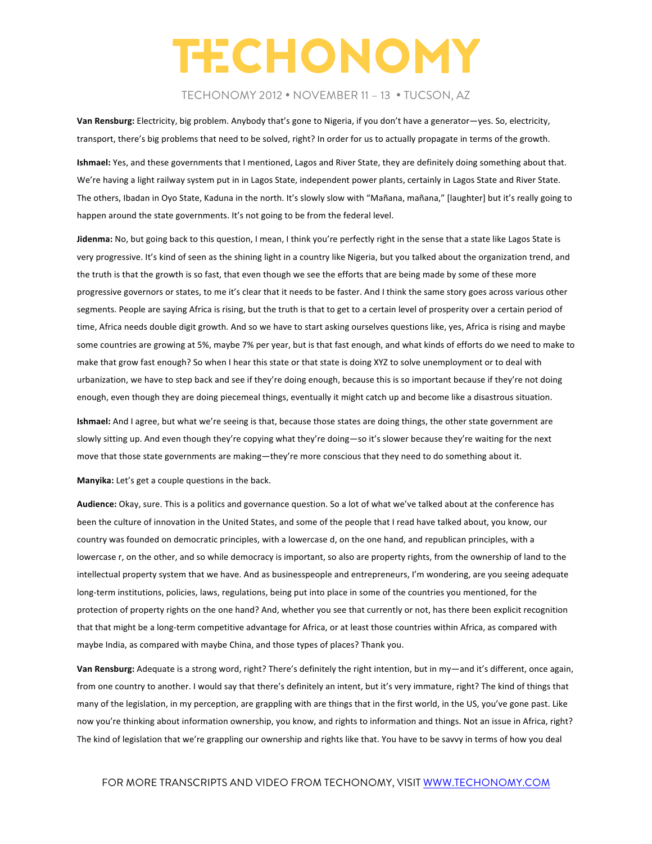### TECHONOMY 2012 • NOVEMBER 11 – 13 • TUCSON, AZ

Van Rensburg: Electricity, big problem. Anybody that's gone to Nigeria, if you don't have a generator—yes. So, electricity, transport, there's big problems that need to be solved, right? In order for us to actually propagate in terms of the growth.

**Ishmael:** Yes, and these governments that I mentioned, Lagos and River State, they are definitely doing something about that. We're having a light railway system put in in Lagos State, independent power plants, certainly in Lagos State and River State. The others, Ibadan in Oyo State, Kaduna in the north. It's slowly slow with "Mañana, mañana," [laughter] but it's really going to happen around the state governments. It's not going to be from the federal level.

Jidenma: No, but going back to this question, I mean, I think you're perfectly right in the sense that a state like Lagos State is very progressive. It's kind of seen as the shining light in a country like Nigeria, but you talked about the organization trend, and the truth is that the growth is so fast, that even though we see the efforts that are being made by some of these more progressive governors or states, to me it's clear that it needs to be faster. And I think the same story goes across various other segments. People are saying Africa is rising, but the truth is that to get to a certain level of prosperity over a certain period of time, Africa needs double digit growth. And so we have to start asking ourselves questions like, yes, Africa is rising and maybe some countries are growing at 5%, maybe 7% per year, but is that fast enough, and what kinds of efforts do we need to make to make that grow fast enough? So when I hear this state or that state is doing XYZ to solve unemployment or to deal with urbanization, we have to step back and see if they're doing enough, because this is so important because if they're not doing enough, even though they are doing piecemeal things, eventually it might catch up and become like a disastrous situation.

Ishmael: And I agree, but what we're seeing is that, because those states are doing things, the other state government are slowly sitting up. And even though they're copying what they're doing-so it's slower because they're waiting for the next move that those state governments are making—they're more conscious that they need to do something about it.

Manyika: Let's get a couple questions in the back.

Audience: Okay, sure. This is a politics and governance question. So a lot of what we've talked about at the conference has been the culture of innovation in the United States, and some of the people that I read have talked about, you know, our country was founded on democratic principles, with a lowercase d, on the one hand, and republican principles, with a lowercase r, on the other, and so while democracy is important, so also are property rights, from the ownership of land to the intellectual property system that we have. And as businesspeople and entrepreneurs, I'm wondering, are you seeing adequate long-term institutions, policies, laws, regulations, being put into place in some of the countries you mentioned, for the protection of property rights on the one hand? And, whether you see that currently or not, has there been explicit recognition that that might be a long-term competitive advantage for Africa, or at least those countries within Africa, as compared with maybe India, as compared with maybe China, and those types of places? Thank you.

Van Rensburg: Adequate is a strong word, right? There's definitely the right intention, but in my—and it's different, once again, from one country to another. I would say that there's definitely an intent, but it's very immature, right? The kind of things that many of the legislation, in my perception, are grappling with are things that in the first world, in the US, you've gone past. Like now you're thinking about information ownership, you know, and rights to information and things. Not an issue in Africa, right? The kind of legislation that we're grappling our ownership and rights like that. You have to be savvy in terms of how you deal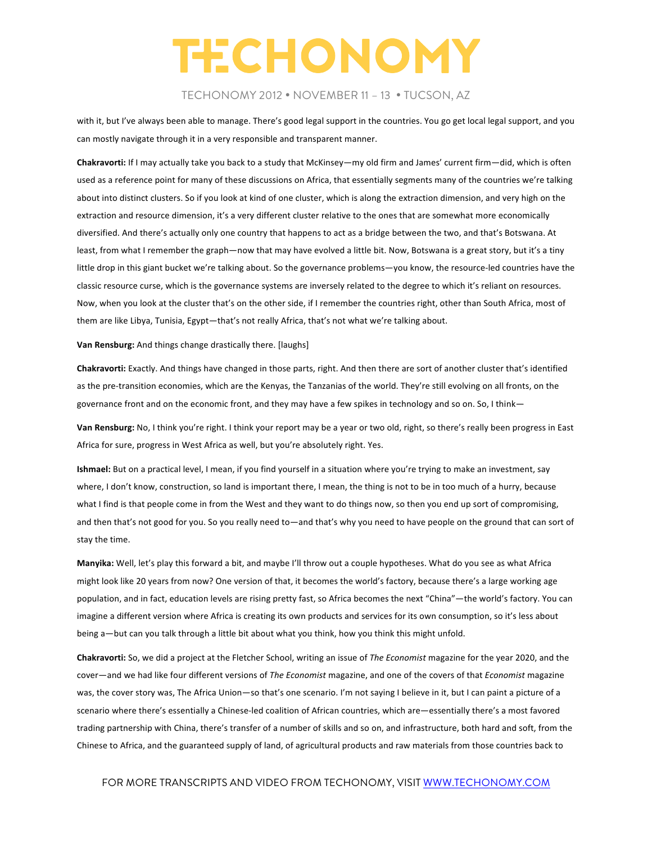### TECHONOMY 2012 • NOVEMBER 11 – 13 • TUCSON, AZ

with it, but I've always been able to manage. There's good legal support in the countries. You go get local legal support, and you can mostly navigate through it in a very responsible and transparent manner.

Chakravorti: If I may actually take you back to a study that McKinsey—my old firm and James' current firm—did, which is often used as a reference point for many of these discussions on Africa, that essentially segments many of the countries we're talking about into distinct clusters. So if you look at kind of one cluster, which is along the extraction dimension, and very high on the extraction and resource dimension, it's a very different cluster relative to the ones that are somewhat more economically diversified. And there's actually only one country that happens to act as a bridge between the two, and that's Botswana. At least, from what I remember the graph—now that may have evolved a little bit. Now, Botswana is a great story, but it's a tiny little drop in this giant bucket we're talking about. So the governance problems—you know, the resource-led countries have the classic resource curse, which is the governance systems are inversely related to the degree to which it's reliant on resources. Now, when you look at the cluster that's on the other side, if I remember the countries right, other than South Africa, most of them are like Libya, Tunisia, Egypt—that's not really Africa, that's not what we're talking about.

#### **Van Rensburg:** And things change drastically there. [laughs]

**Chakravorti:** Exactly. And things have changed in those parts, right. And then there are sort of another cluster that's identified as the pre-transition economies, which are the Kenyas, the Tanzanias of the world. They're still evolving on all fronts, on the governance front and on the economic front, and they may have a few spikes in technology and so on. So, I think-

Van Rensburg: No, I think you're right. I think your report may be a year or two old, right, so there's really been progress in East Africa for sure, progress in West Africa as well, but you're absolutely right. Yes.

**Ishmael:** But on a practical level, I mean, if you find yourself in a situation where you're trying to make an investment, say where, I don't know, construction, so land is important there, I mean, the thing is not to be in too much of a hurry, because what I find is that people come in from the West and they want to do things now, so then you end up sort of compromising, and then that's not good for you. So you really need to—and that's why you need to have people on the ground that can sort of stay the time.

Manyika: Well, let's play this forward a bit, and maybe I'll throw out a couple hypotheses. What do you see as what Africa might look like 20 years from now? One version of that, it becomes the world's factory, because there's a large working age population, and in fact, education levels are rising pretty fast, so Africa becomes the next "China"—the world's factory. You can imagine a different version where Africa is creating its own products and services for its own consumption, so it's less about being a—but can you talk through a little bit about what you think, how you think this might unfold.

**Chakravorti:** So, we did a project at the Fletcher School, writing an issue of *The Economist* magazine for the year 2020, and the cover—and we had like four different versions of The Economist magazine, and one of the covers of that *Economist* magazine was, the cover story was, The Africa Union—so that's one scenario. I'm not saying I believe in it, but I can paint a picture of a scenario where there's essentially a Chinese-led coalition of African countries, which are—essentially there's a most favored trading partnership with China, there's transfer of a number of skills and so on, and infrastructure, both hard and soft, from the Chinese to Africa, and the guaranteed supply of land, of agricultural products and raw materials from those countries back to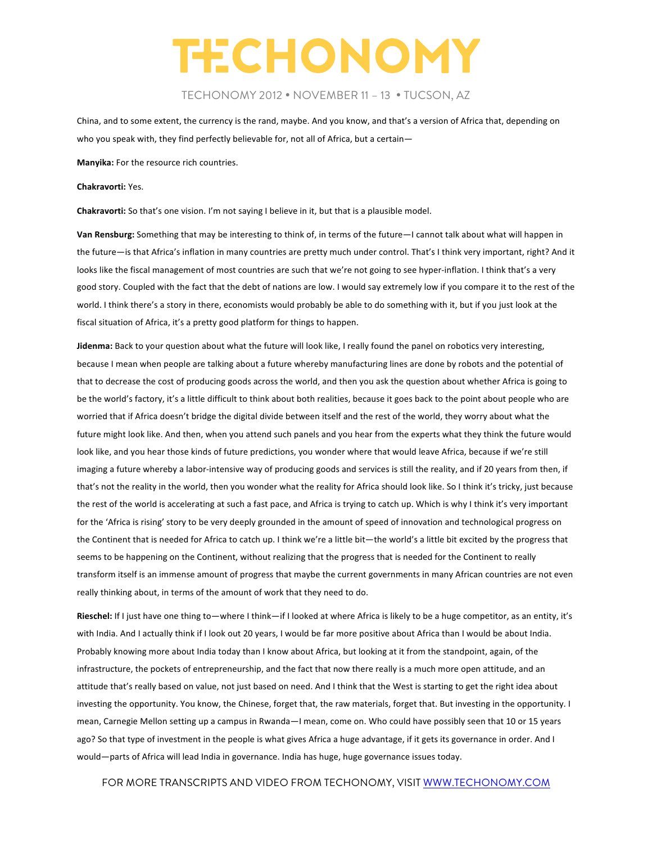### TECHONOMY 2012 • NOVEMBER 11 – 13 • TUCSON, AZ

China, and to some extent, the currency is the rand, maybe. And you know, and that's a version of Africa that, depending on who you speak with, they find perfectly believable for, not all of Africa, but a certain-

**Manyika:** For the resource rich countries.

#### **Chakravorti:** Yes.

**Chakravorti:** So that's one vision. I'm not saying I believe in it, but that is a plausible model.

Van Rensburg: Something that may be interesting to think of, in terms of the future—I cannot talk about what will happen in the future—is that Africa's inflation in many countries are pretty much under control. That's I think very important, right? And it looks like the fiscal management of most countries are such that we're not going to see hyper-inflation. I think that's a very good story. Coupled with the fact that the debt of nations are low. I would say extremely low if you compare it to the rest of the world. I think there's a story in there, economists would probably be able to do something with it, but if you just look at the fiscal situation of Africa, it's a pretty good platform for things to happen.

Jidenma: Back to your question about what the future will look like, I really found the panel on robotics very interesting, because I mean when people are talking about a future whereby manufacturing lines are done by robots and the potential of that to decrease the cost of producing goods across the world, and then you ask the question about whether Africa is going to be the world's factory, it's a little difficult to think about both realities, because it goes back to the point about people who are worried that if Africa doesn't bridge the digital divide between itself and the rest of the world, they worry about what the future might look like. And then, when you attend such panels and you hear from the experts what they think the future would look like, and you hear those kinds of future predictions, you wonder where that would leave Africa, because if we're still imaging a future whereby a labor-intensive way of producing goods and services is still the reality, and if 20 years from then, if that's not the reality in the world, then you wonder what the reality for Africa should look like. So I think it's tricky, just because the rest of the world is accelerating at such a fast pace, and Africa is trying to catch up. Which is why I think it's very important for the 'Africa is rising' story to be very deeply grounded in the amount of speed of innovation and technological progress on the Continent that is needed for Africa to catch up. I think we're a little bit—the world's a little bit excited by the progress that seems to be happening on the Continent, without realizing that the progress that is needed for the Continent to really transform itself is an immense amount of progress that maybe the current governments in many African countries are not even really thinking about, in terms of the amount of work that they need to do.

Rieschel: If I just have one thing to—where I think—if I looked at where Africa is likely to be a huge competitor, as an entity, it's with India. And I actually think if I look out 20 years, I would be far more positive about Africa than I would be about India. Probably knowing more about India today than I know about Africa, but looking at it from the standpoint, again, of the infrastructure, the pockets of entrepreneurship, and the fact that now there really is a much more open attitude, and an attitude that's really based on value, not just based on need. And I think that the West is starting to get the right idea about investing the opportunity. You know, the Chinese, forget that, the raw materials, forget that. But investing in the opportunity. I mean, Carnegie Mellon setting up a campus in Rwanda—I mean, come on. Who could have possibly seen that 10 or 15 years ago? So that type of investment in the people is what gives Africa a huge advantage, if it gets its governance in order. And I would—parts of Africa will lead India in governance. India has huge, huge governance issues today.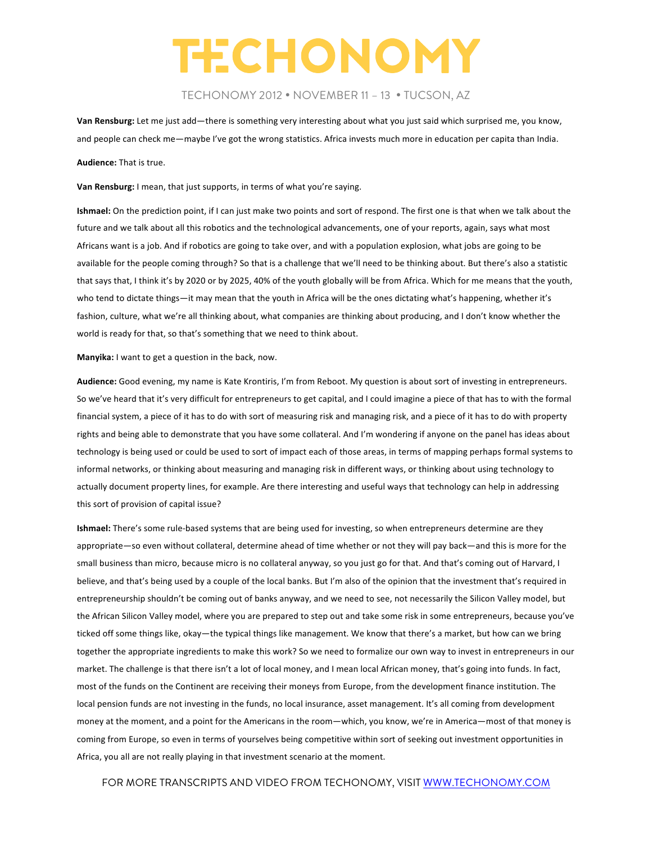### TECHONOMY 2012 • NOVEMBER 11 – 13 • TUCSON, AZ

Van Rensburg: Let me just add—there is something very interesting about what you just said which surprised me, you know, and people can check me—maybe I've got the wrong statistics. Africa invests much more in education per capita than India. **Audience:** That is true.

Van Rensburg: I mean, that just supports, in terms of what you're saying.

**Ishmael:** On the prediction point, if I can just make two points and sort of respond. The first one is that when we talk about the future and we talk about all this robotics and the technological advancements, one of your reports, again, says what most Africans want is a job. And if robotics are going to take over, and with a population explosion, what jobs are going to be available for the people coming through? So that is a challenge that we'll need to be thinking about. But there's also a statistic that says that, I think it's by 2020 or by 2025, 40% of the youth globally will be from Africa. Which for me means that the youth, who tend to dictate things—it may mean that the youth in Africa will be the ones dictating what's happening, whether it's fashion, culture, what we're all thinking about, what companies are thinking about producing, and I don't know whether the world is ready for that, so that's something that we need to think about.

**Manyika:** I want to get a question in the back, now.

Audience: Good evening, my name is Kate Krontiris, I'm from Reboot. My question is about sort of investing in entrepreneurs. So we've heard that it's very difficult for entrepreneurs to get capital, and I could imagine a piece of that has to with the formal financial system, a piece of it has to do with sort of measuring risk and managing risk, and a piece of it has to do with property rights and being able to demonstrate that you have some collateral. And I'm wondering if anyone on the panel has ideas about technology is being used or could be used to sort of impact each of those areas, in terms of mapping perhaps formal systems to informal networks, or thinking about measuring and managing risk in different ways, or thinking about using technology to actually document property lines, for example. Are there interesting and useful ways that technology can help in addressing this sort of provision of capital issue?

**Ishmael:** There's some rule-based systems that are being used for investing, so when entrepreneurs determine are they appropriate—so even without collateral, determine ahead of time whether or not they will pay back—and this is more for the small business than micro, because micro is no collateral anyway, so you just go for that. And that's coming out of Harvard, I believe, and that's being used by a couple of the local banks. But I'm also of the opinion that the investment that's required in entrepreneurship shouldn't be coming out of banks anyway, and we need to see, not necessarily the Silicon Valley model, but the African Silicon Valley model, where you are prepared to step out and take some risk in some entrepreneurs, because you've ticked off some things like, okay—the typical things like management. We know that there's a market, but how can we bring together the appropriate ingredients to make this work? So we need to formalize our own way to invest in entrepreneurs in our market. The challenge is that there isn't a lot of local money, and I mean local African money, that's going into funds. In fact, most of the funds on the Continent are receiving their moneys from Europe, from the development finance institution. The local pension funds are not investing in the funds, no local insurance, asset management. It's all coming from development money at the moment, and a point for the Americans in the room—which, you know, we're in America—most of that money is coming from Europe, so even in terms of yourselves being competitive within sort of seeking out investment opportunities in Africa, you all are not really playing in that investment scenario at the moment.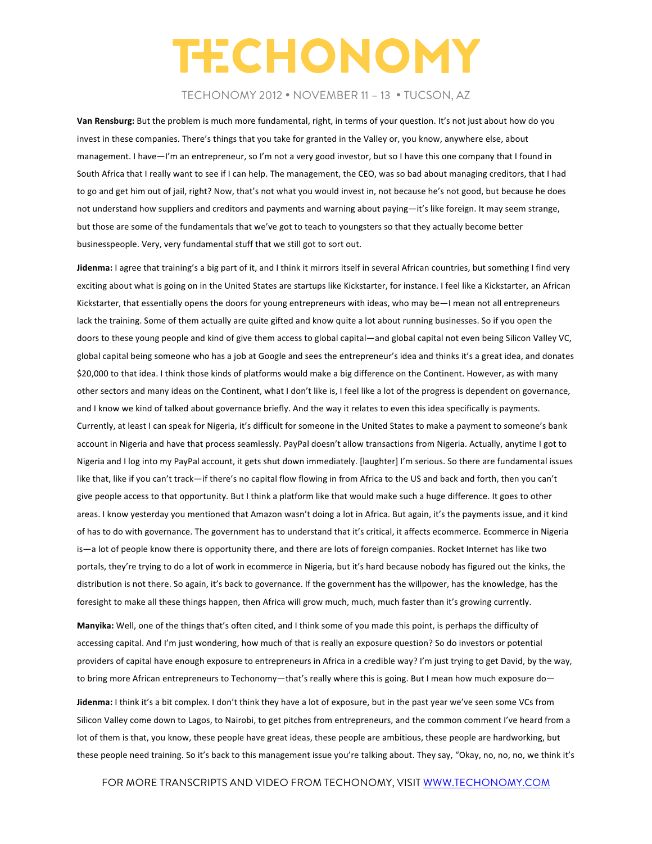### TECHONOMY 2012 • NOVEMBER 11 – 13 • TUCSON, AZ

Van Rensburg: But the problem is much more fundamental, right, in terms of your question. It's not just about how do you invest in these companies. There's things that you take for granted in the Valley or, you know, anywhere else, about management. I have—I'm an entrepreneur, so I'm not a very good investor, but so I have this one company that I found in South Africa that I really want to see if I can help. The management, the CEO, was so bad about managing creditors, that I had to go and get him out of jail, right? Now, that's not what you would invest in, not because he's not good, but because he does not understand how suppliers and creditors and payments and warning about paying—it's like foreign. It may seem strange, but those are some of the fundamentals that we've got to teach to youngsters so that they actually become better businesspeople. Very, very fundamental stuff that we still got to sort out.

**Jidenma:** I agree that training's a big part of it, and I think it mirrors itself in several African countries, but something I find very exciting about what is going on in the United States are startups like Kickstarter, for instance. I feel like a Kickstarter, an African Kickstarter, that essentially opens the doors for young entrepreneurs with ideas, who may be—I mean not all entrepreneurs lack the training. Some of them actually are quite gifted and know quite a lot about running businesses. So if you open the doors to these young people and kind of give them access to global capital—and global capital not even being Silicon Valley VC, global capital being someone who has a job at Google and sees the entrepreneur's idea and thinks it's a great idea, and donates \$20,000 to that idea. I think those kinds of platforms would make a big difference on the Continent. However, as with many other sectors and many ideas on the Continent, what I don't like is, I feel like a lot of the progress is dependent on governance, and I know we kind of talked about governance briefly. And the way it relates to even this idea specifically is payments. Currently, at least I can speak for Nigeria, it's difficult for someone in the United States to make a payment to someone's bank account in Nigeria and have that process seamlessly. PayPal doesn't allow transactions from Nigeria. Actually, anytime I got to Nigeria and I log into my PayPal account, it gets shut down immediately. [laughter] I'm serious. So there are fundamental issues like that, like if you can't track—if there's no capital flow flowing in from Africa to the US and back and forth, then you can't give people access to that opportunity. But I think a platform like that would make such a huge difference. It goes to other areas. I know yesterday you mentioned that Amazon wasn't doing a lot in Africa. But again, it's the payments issue, and it kind of has to do with governance. The government has to understand that it's critical, it affects ecommerce. Ecommerce in Nigeria is—a lot of people know there is opportunity there, and there are lots of foreign companies. Rocket Internet has like two portals, they're trying to do a lot of work in ecommerce in Nigeria, but it's hard because nobody has figured out the kinks, the distribution is not there. So again, it's back to governance. If the government has the willpower, has the knowledge, has the foresight to make all these things happen, then Africa will grow much, much, much faster than it's growing currently.

Manyika: Well, one of the things that's often cited, and I think some of you made this point, is perhaps the difficulty of accessing capital. And I'm just wondering, how much of that is really an exposure question? So do investors or potential providers of capital have enough exposure to entrepreneurs in Africa in a credible way? I'm just trying to get David, by the way, to bring more African entrepreneurs to Techonomy—that's really where this is going. But I mean how much exposure do—

Jidenma: I think it's a bit complex. I don't think they have a lot of exposure, but in the past year we've seen some VCs from Silicon Valley come down to Lagos, to Nairobi, to get pitches from entrepreneurs, and the common comment I've heard from a lot of them is that, you know, these people have great ideas, these people are ambitious, these people are hardworking, but these people need training. So it's back to this management issue you're talking about. They say, "Okay, no, no, no, we think it's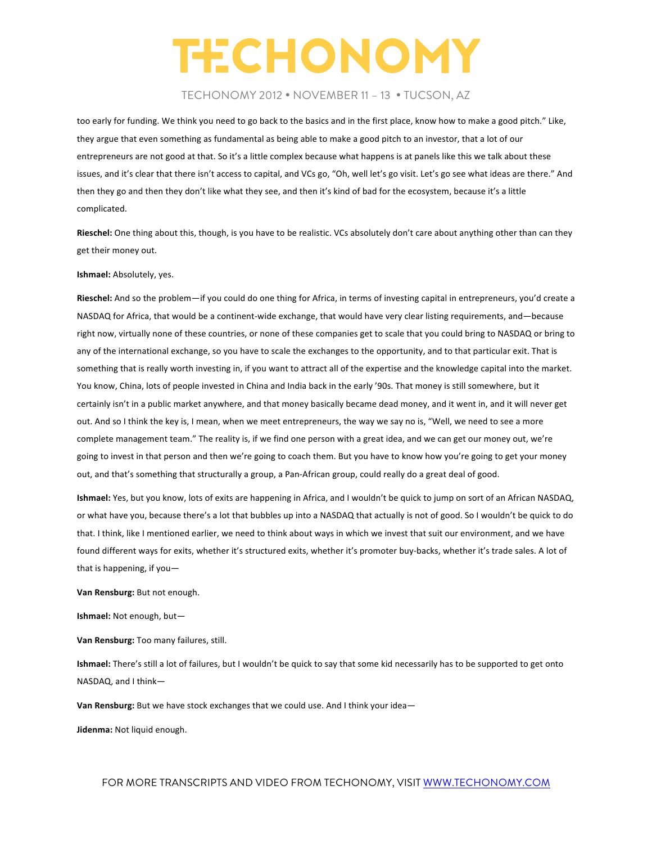### TECHONOMY 2012 • NOVEMBER 11 – 13 • TUCSON, AZ

too early for funding. We think you need to go back to the basics and in the first place, know how to make a good pitch." Like, they argue that even something as fundamental as being able to make a good pitch to an investor, that a lot of our entrepreneurs are not good at that. So it's a little complex because what happens is at panels like this we talk about these issues, and it's clear that there isn't access to capital, and VCs go, "Oh, well let's go visit. Let's go see what ideas are there." And then they go and then they don't like what they see, and then it's kind of bad for the ecosystem, because it's a little complicated. 

**Rieschel:** One thing about this, though, is you have to be realistic. VCs absolutely don't care about anything other than can they get their money out.

#### **Ishmael:** Absolutely, yes.

**Rieschel:** And so the problem—if you could do one thing for Africa, in terms of investing capital in entrepreneurs, you'd create a NASDAQ for Africa, that would be a continent-wide exchange, that would have very clear listing requirements, and—because right now, virtually none of these countries, or none of these companies get to scale that you could bring to NASDAQ or bring to any of the international exchange, so you have to scale the exchanges to the opportunity, and to that particular exit. That is something that is really worth investing in, if you want to attract all of the expertise and the knowledge capital into the market. You know, China, lots of people invested in China and India back in the early '90s. That money is still somewhere, but it certainly isn't in a public market anywhere, and that money basically became dead money, and it went in, and it will never get out. And so I think the key is, I mean, when we meet entrepreneurs, the way we say no is, "Well, we need to see a more complete management team." The reality is, if we find one person with a great idea, and we can get our money out, we're going to invest in that person and then we're going to coach them. But you have to know how you're going to get your money out, and that's something that structurally a group, a Pan-African group, could really do a great deal of good.

Ishmael: Yes, but you know, lots of exits are happening in Africa, and I wouldn't be quick to jump on sort of an African NASDAQ, or what have you, because there's a lot that bubbles up into a NASDAQ that actually is not of good. So I wouldn't be quick to do that. I think, like I mentioned earlier, we need to think about ways in which we invest that suit our environment, and we have found different ways for exits, whether it's structured exits, whether it's promoter buy-backs, whether it's trade sales. A lot of that is happening, if you $-$ 

Van Rensburg: But not enough.

**Ishmael:** Not enough, but-

**Van Rensburg:** Too many failures, still.

**Ishmael:** There's still a lot of failures, but I wouldn't be quick to say that some kid necessarily has to be supported to get onto NASDAQ, and I think-

**Van Rensburg:** But we have stock exchanges that we could use. And I think your idea-

**Jidenma:** Not liquid enough.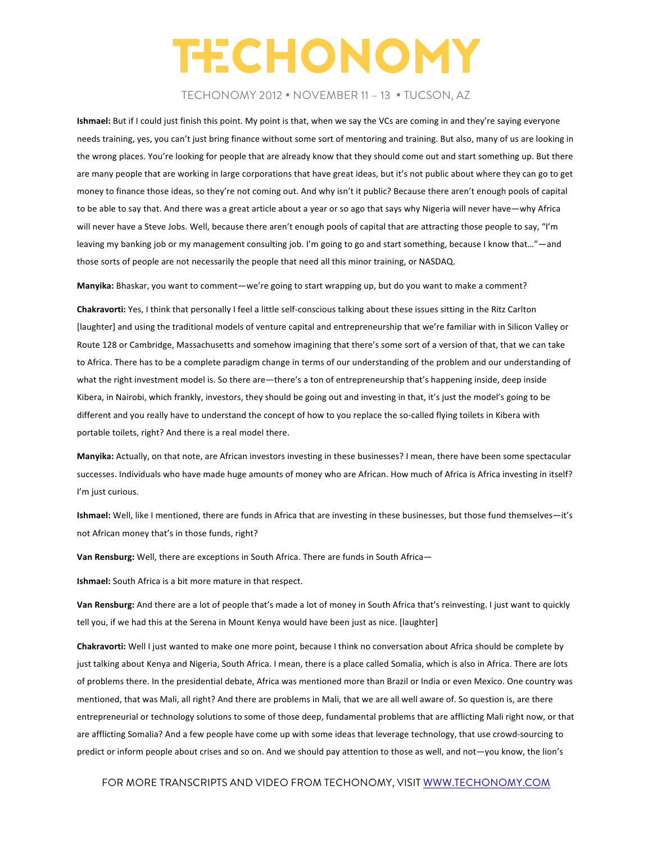### TECHONOMY 2012 • NOVEMBER 11 – 13 • TUCSON, AZ

**Ishmael:** But if I could just finish this point. My point is that, when we say the VCs are coming in and they're saying everyone needs training, yes, you can't just bring finance without some sort of mentoring and training. But also, many of us are looking in the wrong places. You're looking for people that are already know that they should come out and start something up. But there are many people that are working in large corporations that have great ideas, but it's not public about where they can go to get money to finance those ideas, so they're not coming out. And why isn't it public? Because there aren't enough pools of capital to be able to say that. And there was a great article about a year or so ago that says why Nigeria will never have—why Africa will never have a Steve Jobs. Well, because there aren't enough pools of capital that are attracting those people to say, "I'm leaving my banking job or my management consulting job. I'm going to go and start something, because I know that…"—and those sorts of people are not necessarily the people that need all this minor training, or NASDAQ.

**Manyika:** Bhaskar, you want to comment—we're going to start wrapping up, but do you want to make a comment?

**Chakravorti:** Yes, I think that personally I feel a little self-conscious talking about these issues sitting in the Ritz Carlton [laughter] and using the traditional models of venture capital and entrepreneurship that we're familiar with in Silicon Valley or Route 128 or Cambridge, Massachusetts and somehow imagining that there's some sort of a version of that, that we can take to Africa. There has to be a complete paradigm change in terms of our understanding of the problem and our understanding of what the right investment model is. So there are—there's a ton of entrepreneurship that's happening inside, deep inside Kibera, in Nairobi, which frankly, investors, they should be going out and investing in that, it's just the model's going to be different and you really have to understand the concept of how to you replace the so-called flying toilets in Kibera with portable toilets, right? And there is a real model there.

Manyika: Actually, on that note, are African investors investing in these businesses? I mean, there have been some spectacular successes. Individuals who have made huge amounts of money who are African. How much of Africa is Africa investing in itself? I'm just curious.

Ishmael: Well, like I mentioned, there are funds in Africa that are investing in these businesses, but those fund themselves-it's not African money that's in those funds, right?

**Van Rensburg:** Well, there are exceptions in South Africa. There are funds in South Africa-

**Ishmael:** South Africa is a bit more mature in that respect.

**Van Rensburg:** And there are a lot of people that's made a lot of money in South Africa that's reinvesting. I just want to quickly tell you, if we had this at the Serena in Mount Kenya would have been just as nice. [laughter]

**Chakravorti:** Well I just wanted to make one more point, because I think no conversation about Africa should be complete by just talking about Kenya and Nigeria, South Africa. I mean, there is a place called Somalia, which is also in Africa. There are lots of problems there. In the presidential debate, Africa was mentioned more than Brazil or India or even Mexico. One country was mentioned, that was Mali, all right? And there are problems in Mali, that we are all well aware of. So question is, are there entrepreneurial or technology solutions to some of those deep, fundamental problems that are afflicting Mali right now, or that are afflicting Somalia? And a few people have come up with some ideas that leverage technology, that use crowd-sourcing to predict or inform people about crises and so on. And we should pay attention to those as well, and not—you know, the lion's